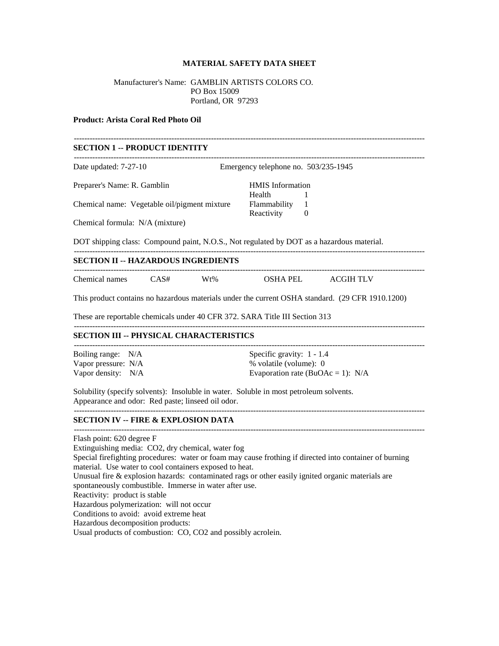## **MATERIAL SAFETY DATA SHEET**

## Manufacturer's Name: GAMBLIN ARTISTS COLORS CO. PO Box 15009 Portland, OR 97293

#### **Product: Arista Coral Red Photo Oil**

# ------------------------------------------------------------------------------------------------------------------------------------- **SECTION 1 -- PRODUCT IDENTITY** ------------------------------------------------------------------------------------------------------------------------------------- Date updated: 7-27-10 Emergency telephone no. 503/235-1945 Preparer's Name: R. Gamblin HMIS Information Health 1 Chemical name: Vegetable oil/pigment mixture Flammability 1 Reactivity 0 Chemical formula: N/A (mixture) DOT shipping class: Compound paint, N.O.S., Not regulated by DOT as a hazardous material. ------------------------------------------------------------------------------------------------------------------------------------- **SECTION II -- HAZARDOUS INGREDIENTS** ------------------------------------------------------------------------------------------------------------------------------------- Chemical names CAS# Wt% OSHA PEL ACGIH TLV This product contains no hazardous materials under the current OSHA standard. (29 CFR 1910.1200) These are reportable chemicals under 40 CFR 372. SARA Title III Section 313 ------------------------------------------------------------------------------------------------------------------------------------- **SECTION III -- PHYSICAL CHARACTERISTICS** ------------------------------------------------------------------------------------------------------------------------------------- Boiling range: N/A Specific gravity: 1 - 1.4 Vapor pressure: N/A  $\%$  volatile (volume): 0 Vapor density: N/A Evaporation rate (BuOAc = 1): N/A Solubility (specify solvents): Insoluble in water. Soluble in most petroleum solvents. Appearance and odor: Red paste; linseed oil odor. ------------------------------------------------------------------------------------------------------------------------------------- **SECTION IV -- FIRE & EXPLOSION DATA** ------------------------------------------------------------------------------------------------------------------------------------- Flash point: 620 degree F Extinguishing media: CO2, dry chemical, water fog Special firefighting procedures: water or foam may cause frothing if directed into container of burning material. Use water to cool containers exposed to heat. Unusual fire  $\&$  explosion hazards: contaminated rags or other easily ignited organic materials are spontaneously combustible. Immerse in water after use. Reactivity: product is stable Hazardous polymerization: will not occur Conditions to avoid: avoid extreme heat

Hazardous decomposition products:

Usual products of combustion: CO, CO2 and possibly acrolein.